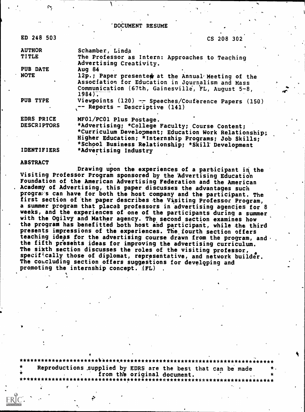'DOCUMENT RESUME

| ED 248 503         | CS 208 302                                                                                                                                                                                                            |  |
|--------------------|-----------------------------------------------------------------------------------------------------------------------------------------------------------------------------------------------------------------------|--|
| <b>AUTHOR</b>      | Schamber, Linda                                                                                                                                                                                                       |  |
| <b>TITLE</b>       | The Professor as Intern: Approaches to Teaching<br>Advertising Creativity.                                                                                                                                            |  |
| PUB DATE           | Aug $84$                                                                                                                                                                                                              |  |
| <b>NOTE</b>        | 12p.; Paper presented at the Annual Meeting of the<br>Association for Education in Journalism and Mass<br>Communication (67th, Gainesville, FL, August 5-8,<br>$1984$ .                                               |  |
| PUB TYPE           | Viewpoints (120) -- Speeches/Conference Papers (150)<br>-- Reports - Descriptive (141)                                                                                                                                |  |
| EDRS PRICE         | MF01/PC01 Plus Postage.                                                                                                                                                                                               |  |
| <b>DESCRIPTORS</b> | *Advertising; *College Faculty; Course Content;<br>*Curriculum Development; Education Work Relationship;<br>Higher Education; *Internship Programs; Job Skills;<br>*School Business Relationship; *Skill' Development |  |

IDENTIFIERS \*Advertising Industry

#### ABSTRACT

 $\mathbf{v}$  .

Drawing upon the experiences of a participant in the Visiting Professor Program sponsored by the 'Advertising Education Foundation of the American Advertising Federation and the American Academy of Advertising, this paper discusses the advantages such prograws can have for both the host company and the participant. The first section of the paper describes the Visiting Professor Program, a summer program that places professors in advertising agencies for 8 weeks, and the experiences of one of the participants during a summer with the Ogilvy and Mather agency. Thy second section examines how the program has benefitted both host and participant, while the third presents impressions of the experiences. The fourth section offers teaching ideas for the advertising course drawn from the program, and .<br>the fifth presents ideas for improving the advertising curriculum. The sikth section discusses the roles of the visiting professor, specifically those of diplomat, representative, and network builder. The concluding section offers suggestions for developing and promoting the internship concept.  $(FL)$ 

<sup>e</sup> , \*\*\*\*\*\*\*\*\*\*\*\*\*\*\*\*\*\*\*\*\*\*k\*\*\*\*t\*\*\*\*\*\*\*\*\*\*\*\*\*\*\*\*\*\*\*\*\*\*\*\*\*\*\*\*\*\*\*\*\*\*\*\*\*\*\*\*\*\*\* Reproductions supplied by EDRS are the best that can be made<br>from the original document. \* ,. . from th'e original document. .. \* \*\*\*\*\*\*\*\*\*\*\*\*\*\*\*\*\*\*\*\*\*\*\*\*\*\*\*\*\*\*\*\*\*\*\*\*\*\*\*\*\*\*\*\*\*\*\*\*\*\*\*\*\*\*\*\*\*\*\*\*\*\*\*\*\*\*\*\*\*\*\*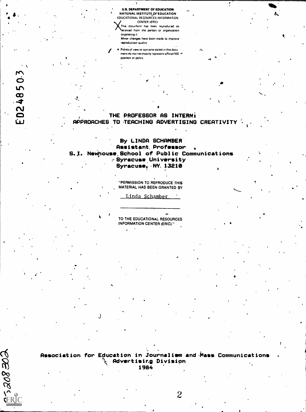U.S. DEPARTMENT OF EDUCATION NATIONAL INSTITUTE OF EDUCATION EDUCATIONAL RESOURCES INFORMATION CENTER IERICI This docurfient has been reproduced as

. . .

This document has been reproduced as<br>Neceived from the person or organization onginating it Minor changes have been made to improve reproduction quality,

Points of view or opinions slated in this docu ment do not necessarily represent official NIE \*\* position or policy.

# THE PROFESSOR AS INTERN! . APPROACHES TO-TEACHING ADVERTISING CREATIVITY

tion and a series of the

## By LINDA SCHAMBER Assistant, Professor S. I. Newhouse School of Public Communications .-Syracuse ,University  $Syracuse, NY, 13210$

"PERMISSION TO REPRODUCE THIS MATERIAL HAS BEEN GRANTED BY

Linda Schamber

TO THE EDUCATIONAL RESOURCES INFORMATION CENTER (ERIC)."

a

Association for Education in Journalism and 4iass Communications \ Advertising Division 1964

 $J$  and  $J$  and  $J$ 

EÆ802-

 $\bullet$   $\bullet$   $\bullet$ 

2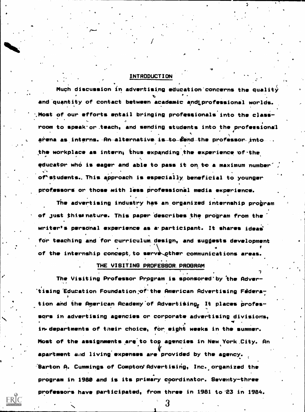### INTRODUCTION

**ite** 

4

Much discussion in advertising education concerns the quality and quantity of contact between academic and professional worlds. %Most of our efforts entail bringing professionals into the class- - - - - - - -<br>room to speak or teach, and sending students into the professional A arena as interns. -A<del>n alternative is to S</del>end the professor into the workplace as intern, thus expanding the experience of the  $\blacksquare$ educator who is eager and able to pass it on to a maximum number' of\*students. This approach is especially beneficial to younger professors or those with less professional media experience.

The advertising industry has an organized internship program of just thiss nature. This paper 'describes the program from the writer's personal experience as a participant. It shares ideas for teaching and for curriculum. design, and suggests development  $\bullet$  and the set of  $\bullet$ of the internship concept, to serve other communications areas.

#### THE VISITING PROFESSOR, PROGRAM

I'

ERĬC

The Visiting Professor Prpgram is sponsored'by 'the Adver- , 'tising Education Foundation of the American Advertising Federation and the American Academy of Advertising<sub>e</sub> It places professors in advertising agencies or corporate advertising divisions, in. departments of their choice, for eight weeks in the summer. Most of the assignments are to top agencies in New York City. An apartment and living expenses are provided by the agency.  $\epsilon'$ Barton A. Cummings of Compton'Advertising, Inc. organized the program in 1989 and is its primary coordinator. Seventy-three professors have participated, from three in 1981 to'23 in 1984.

3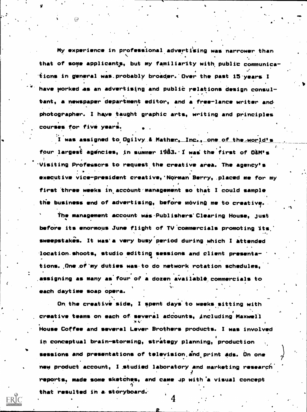My experience in professional advertising was narrower than that of some applicants, but my familiarity with public communica- $\sim$ tions in general was.probably broader. Over the past 15 years I have worked as an advertising and public relations design consul-, tent, a newspaper department editor, and a free-lance writer and photographer. I have taught graphic arts, writing and principles courses for five years.

4

"4

a ea

V

ERIC

I was assigned to Ogilvy & Mather, Inc., one of the world's  $\bullet$   $\bullet$ four largest agencies, in summer 1983.'I was the first of 02M's 'Visiting Professors to request the creative area. The agency's executive vice-president creative,'Norman Berry,. placed me for my first three weeks in account management so that I could sample the business end of advertising, before moving me to creative.

The management account was Publishers'Clearing House. just before its enormous June flight of TV'commercials promoting its.' sweepstakes. It was'a very busy period during which I attended location.shoots, studio editing sessions and client presenta tions. One of my duties was to do network rotation schedules. assigning as many as four of a dozen available commercials to `r each daytime soap opera.

On the creative side, I spent days to weeks sitting with creative teams on each of several adcounts, including Maxwell<br>http://www.com/wikipedia.com/wikipedia.com/wikipedia.com/wikipedia.com/wikipedia.com/wikipedia.com/w House Coffee and several Lever Brothers products. I was involved in conceptual brain-storming, strategy planning, production sessions and presentations of television and print ads. On one new product account, I studied laboratory and marketing research. 9 reports, made some sketches, and came 4p with 'a visual concept that resulted in a. storyboard:.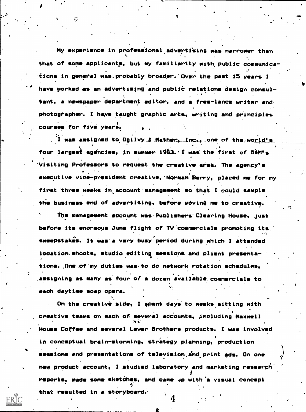My experience in professional advertising was narrower than that of some applicants, but my familiarity with public communications in general was probably broader. Over the past 15 years I have porked as an advertising and public relations design consultant, a newspaper department editor, and a free-lance writer and. photographer. I have taught graphic arts, writing and principles courses for five years.

 $\overline{1}$  was assigned to Ogilvy & Mather, Inc., one of the world's  $\bullet$  . The set of  $\bullet$ four largest agencies, in summer 1983. I was the first of O&M's 'Visiting Professors to request the creative area. The agency's executive vice-president creative, Norman Berry, placed me for my first three weeks in account management so that I could sample the business whd of advertising, before moving me to creative.

The management account was Publishers' Clearing House, just before its enormous June flight of TV 'commercials promoting Its,' sweepstakes. It was'a very busy period during which I attended location.shoots, studio editing sessions and client presentations. One of my duties was to do network rotation schedules, assigning as many as four of a dozen available commercials to 'v. each daytime soap opera.

On the creative side, I spent days to weeks sitting with creative teams on each of several adcounts, including Maxwell House Coffee and several Lever Brothers products. I was involved in conceptual brain-storming, strategy planning, production sessions and presentations of television, and print ads. On one new product account, I studied laboratory and marketing research reports, made some sketdhqs, and came 4p with 'a visual concept that resulted in a. storyboard:

ERIC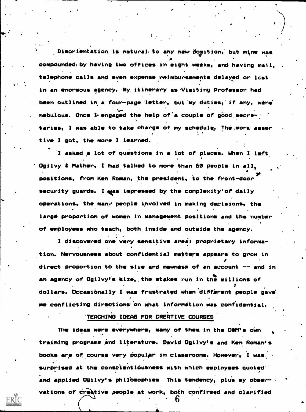Disorientation is natural to any new position, but mine was compoundediby having two offices in eight weeks, and having mail, telephone calls and even expense reimbursements delayed or lost in an enormous agency. My itinerary as Visiting Professor had been outlined in a four-page letter, but my duties, if any, wera' nebulous. Once I engaged the help of a couple of good secretaries, I was able to take charge of my schedule. The more asser tive I got, the more I learned.

 $\blacksquare$ 

I asked a lot of questions in a lot of places. When I left. Ogilvy & Mather, I had talked to more than 60 people in all. \* <u>\* \*</u> positions, from Ken Roman, the president, to the front-door security guards. I was impressed by the complexity'of daily operations, the many people involved in making decisions, the large proportion of women in management positions and the number of employees who teach, both inside and outside the agency.

I discovered one very sensitive.areas proprietary informa- . tion. Nervousness about confidential matters appears to grow in direct proportion to the size ard newness of an account  $-$  and in an agency of Ogilvy's size, the stakes run in the millions of dollars. Occasibnally I was frustrated when diffirent people gave me conflicting directions on what information was confidential.

'TEACHING IDEAS FOR CREATIVE COURSES

The ideas were everywhere, many of them in the O&M's own training programs and literature. David Ogilvy's and Ken Roman's books are of course very popular in classrooms. However, I was surprised at the conscientiousness with which employees quoted  $\theta$ and applied Ogilvy's philosophies. This tendency, plus my obser- . vations of creative people at work, both confirmed and clarified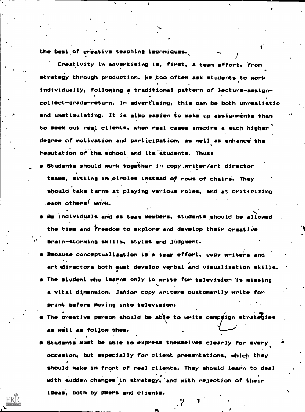the best of creative teaching techniques.

 $\blacksquare$ 

ERIC

Creativity in advertising is, first, a team effort, from strategy through. production. We too often ask students to work individually, following a traditional pattern of lecture-assign-, collect-grade-return.- In advertising, this can be both unrealistic and unstimulating. It is also easier to make up assignments than to seek out real clients, when real cases inspire a much higher degree of motivation and participation, as well as enhance the reputation of the school and its students. Thus:

 $\theta$  and  $\theta$ 

- Students should work together in copy,writer/art director teams, sitting in circles instead of rows of chairi. They should take turns at playing various roles, and at criticizing - each others' work.
- As individuals and as team members, students should be allowed the time and freedom to explore and develop their creative brain-storming skills, styles and judgment.
- Because conceptualization is a team effort, copy writers and art directors both must develop verbal and visualization skills.
- The student who learns only to write for television is missing a vital dimension. Junior copy writers customarily write for print before moving into television'.
- The creative person should be able to write campaign strategies. as well as follow them.
- Students must be able to express themselves clearly for every occasion,: but especially for client presentations, which they should make in front of real clients. They should learn to deal with sudden changes in strategy, and with rejection of their ideas, both by peers and clients.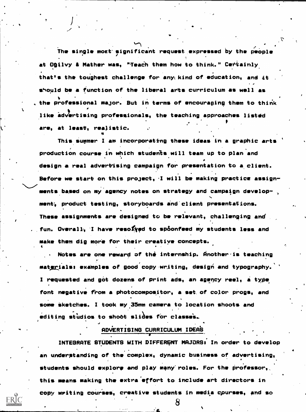The single mort'significant request. expressed by the people at Onilvy & Mather was, "Teach them how to think." Certainly that's the toughest challenge for any kind of education, and it should be a function of the liberal arts curriculum as well as the professional major. But in terms of encouraging them to think like advertising professionals, the teaching approaches listed are, at least, realistic.

This summer I am incorporating these ideas in a graphic arts production course in which students will team up to plan and design a real advertising campaign for presentation to a. client. Before we start on this project, 'I will be making practice assignments based on my agency notes on strategy and campaign development, product testing, storyboards and client presentations. These assignments are designed to be relevant, challenging and fun. Overall, I have resofyed to spoonfeed my students less and make them dig more for their creative concepts.

 $\mathbf{I}$ 

ERÍC

Notes are one reward of the internship. Another -is teaching materials: examples of good copy writing, design and typography. I requested and got dozens of print ads, an agency reel, a type font negative from a photocompositor, a set. of color props, and some sketches. I took my 35mm camera to location shoots and editing studios to shoot slides for classes.

## ADVERTISING CURRICULUM IDEA'S

INTEGRATE STUDENTS WITH DIFFERENT MAJORS: In order to develop an underptanding of the complex, dynamic business of advertising, students should explore and play many roles. For the professor, this means making the extra effort to include art directors in copy writing courses, creative students in media cpurses, and so

**8**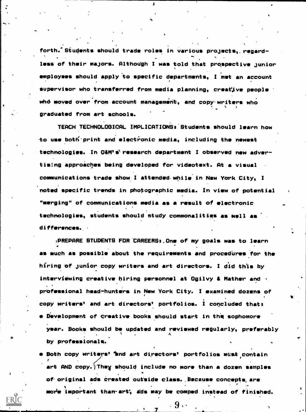forth. Students should trade roles in various projects, regardless of their majors. Although I was told that prospective junior employees should apply to specific departments, I met an account supervisor who transferred from media planning, creative people  $\cdot$ who moved over from account management, and copy writers who graduated from art schools.

TEACH TECHNOLOGICAL IMPLICATIONS. Students should learn how to use both print and electronic media, including the newest technologies. In O&M's' research department I observed new advertising approaches being developed for videotext. At a visual communications trade show I attended while in New York City, I noted specific trends in photographic media. In view of potential "merging" of communications media as a result of electronic technologies, students should study commonalities as well as differences.,

)PREPARE STUDENTS FOR 'CAREERSs.One of my goals was to learn  $4.5$  . Similarly, the set of the set of the set of the set of the set of the set of the set of the set of the set of the set of the set of the set of the set of the set of the set of the set of the set of the set of the as much as possible about the requirements and procedures for the hiring of junior copy writers and art directors. I did this by interviewing creative hiring personnel at Ogilvy & Mather and  $\cdot$ professional head-hunters in New York City. I examined dozens of copy writers" and art directors' portfolios. I concluded that: e Development of qreative books should start in thit sophomore year. Books should be updated and reviewed regularly, preferably A

11

Both copy writers' "and art directors' portfolios must contain art AND copy. $\backslash$ They should include no more than a dozen samples of'original ads Created outside class.Because concepts, are movie important than-art; gds may be comped instead of finished.

 $\mathbf{b}$ 

by professionals.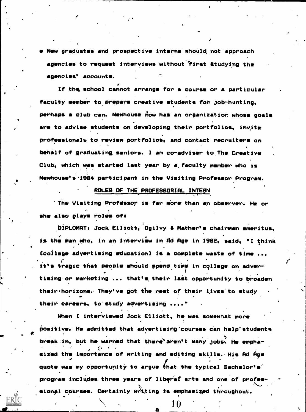New graduates and prospective interns should, not'approach agencies to request interviews without'first studying the agencies' accounts.

If the school cannot arrange for a course or a particular faculty member to prepare creative students for job-hunting, perhaps a club can. Newhouse now has an organization whose goals are to advise students on developing their portfolios, invite professionals to review portfolios, and contact recruiters on behalf of graduating, seniors. I am co-adviser to, The Creative Club, which, mas started last year by a, faculty member who is Newhouse's .1984 participant in the Visiting Professor Program.

#### ROLES OF THE PROFESSORIAL INTERN.

'The Visiting Professor is far more than an observer. He or she also plays roles ofs

 $I = \frac{1}{2}$ 

1%.

s over the set of the set of the set of the set of the set of the set of the set of the set of the set of the <br>Set of the set of the set of the set of the set of the set of the set of the set of the set of the set of the

piPLOMATs Jock Elliott, Ogilvy & Mather's chairman emeritus, is the Man who, in an interview in Ad Age in 1982, said, "I think  $\blacksquare$ [college advertising education] is a complete waste of time ... it's tragic that people should spend time in college on adver-P<sub>ro</sub> en la p tising or marketing ... that's their last opportunity to broaden their•horizons. They've got the rest of their lives'to study their careers, to'study advertising ...."

When I interviewed Jock Elliott, he was somewhat more positive. He admitted that advertising courses can help students break:in, but he warned that there'aren't many jobs. He emphasized the importance of writing and editing skills. His Ad  $\dot{\mathsf{H}}$ ge quote was my opportunity to argue that the typical Bachelor's program includes three years of liberal arts and one of professional courses. Certainly writing is emphasized throughout.

10

 $\bigg($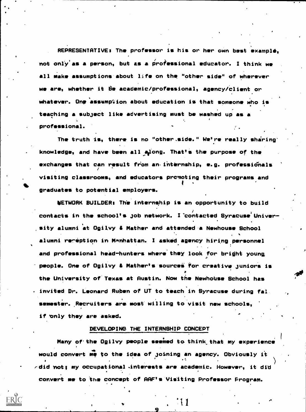REPRESENTATIVE: The professor is his or her own best example, not only'as a person, but as a professional educator. I think we all make assumptions about life on the "other side" of wherever we are, whether it De academic/professional, agency/client or whatever. One assumption about education is that someone who is teaching a subject like advertising must be washed up as a professional.

The truth is, there is no "other.side." We're really sharing' knowledge, and have been all along. That's the purpose of the exchanges that can result from an internship, e.g. professionals visiting classrooms, and educators promoting their programs and  $\bullet$  - 411  $\bullet$  411  $\bullet$  411  $\bullet$  411  $\bullet$  411  $\bullet$  411  $\bullet$  411  $\bullet$  411  $\bullet$  411  $\bullet$  411  $\bullet$  411  $\bullet$  411  $\bullet$  411  $\bullet$  411  $\bullet$  411  $\bullet$  411  $\bullet$  411  $\bullet$  411  $\bullet$  411  $\bullet$  411  $\bullet$  411  $\bullet$  411  $\bullet$  411  $\bullet$  411  $\bullet$ graduates to potential employers.

NETWORK BUILDER: The internship is an opportunity to build contacts in the school's job network. I contacted Syracuse University alumni at Ogilvy & Mather and attended a Newhouse School alumni reneption in Manhattan. I asked agency hiring personnel and professional head-hunters where they look for bright young people. One of Ogilvy & Mather's sources for creative juniors is the University of'Texas at Austin. Now the NewhoUse School has . invited Dr. Leonard Ruben of UT to teach in Syracuse during fal. semester. Recruiters are most willing to visit new schools, if only they are asked.

## DEVELOPING THE INTERNSHIP CONCEPT

Many of the Ogilvy people seemed to think that my experience would convert me to the idea of joining an agency. Obviously it <sup>4</sup> , .t )  $\epsilon$ did not; my occupational interests are academic. However, it did convert me to the concept of AAF's Visiting Professor Program.

 $11$  . One of the set of  $\sim$